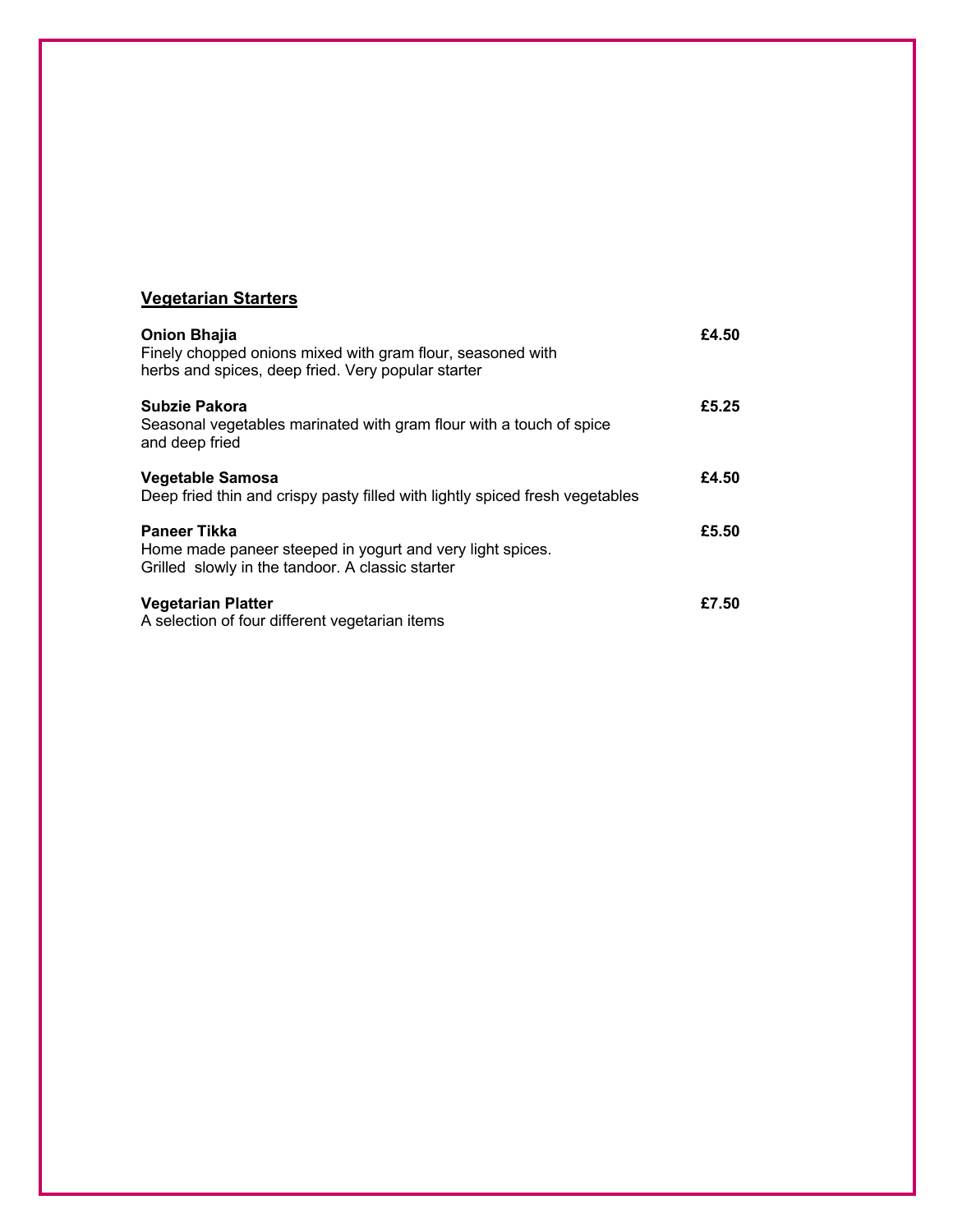# **Vegetarian Starters**

| <b>Onion Bhajia</b><br>Finely chopped onions mixed with gram flour, seasoned with<br>herbs and spices, deep fried. Very popular starter | £4.50 |
|-----------------------------------------------------------------------------------------------------------------------------------------|-------|
| Subzie Pakora<br>Seasonal vegetables marinated with gram flour with a touch of spice<br>and deep fried                                  | £5.25 |
| Vegetable Samosa<br>Deep fried thin and crispy pasty filled with lightly spiced fresh vegetables                                        | £4.50 |
| <b>Paneer Tikka</b><br>Home made paneer steeped in yogurt and very light spices.<br>Grilled slowly in the tandoor. A classic starter    | £5.50 |
| <b>Vegetarian Platter</b><br>A selection of four different vegetarian items                                                             | £7.50 |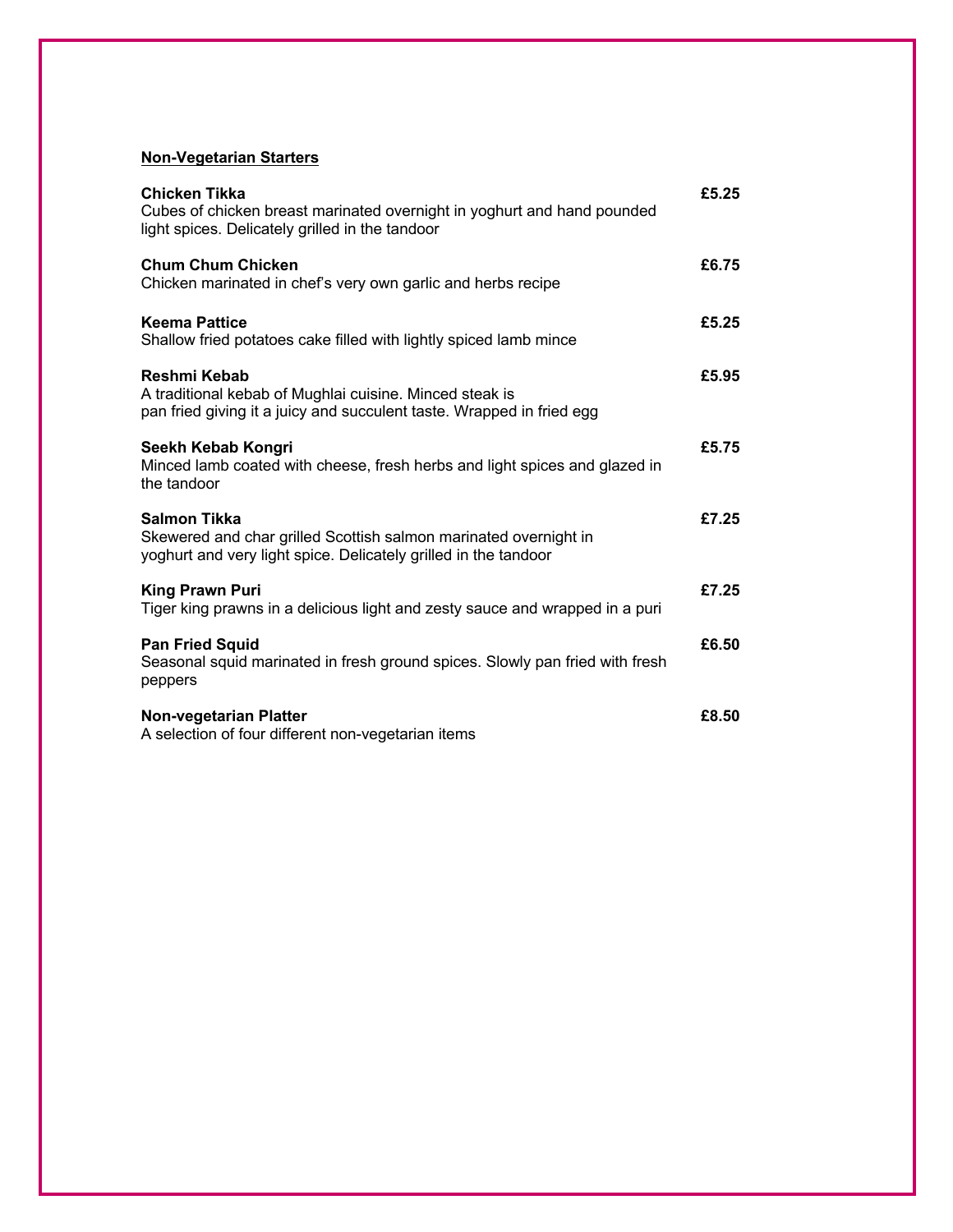### **Non-Vegetarian Starters**

| Chicken Tikka<br>Cubes of chicken breast marinated overnight in yoghurt and hand pounded<br>light spices. Delicately grilled in the tandoor         | £5.25 |
|-----------------------------------------------------------------------------------------------------------------------------------------------------|-------|
| <b>Chum Chum Chicken</b><br>Chicken marinated in chef's very own garlic and herbs recipe                                                            | £6.75 |
| <b>Keema Pattice</b><br>Shallow fried potatoes cake filled with lightly spiced lamb mince                                                           | £5.25 |
| Reshmi Kebab<br>A traditional kebab of Mughlai cuisine. Minced steak is<br>pan fried giving it a juicy and succulent taste. Wrapped in fried egg    | £5.95 |
| Seekh Kebab Kongri<br>Minced lamb coated with cheese, fresh herbs and light spices and glazed in<br>the tandoor                                     | £5.75 |
| Salmon Tikka<br>Skewered and char grilled Scottish salmon marinated overnight in<br>yoghurt and very light spice. Delicately grilled in the tandoor | £7.25 |
| <b>King Prawn Puri</b><br>Tiger king prawns in a delicious light and zesty sauce and wrapped in a puri                                              | £7.25 |
| <b>Pan Fried Squid</b><br>Seasonal squid marinated in fresh ground spices. Slowly pan fried with fresh<br>peppers                                   | £6.50 |
| Non-vegetarian Platter<br>A selection of four different non-vegetarian items                                                                        | £8.50 |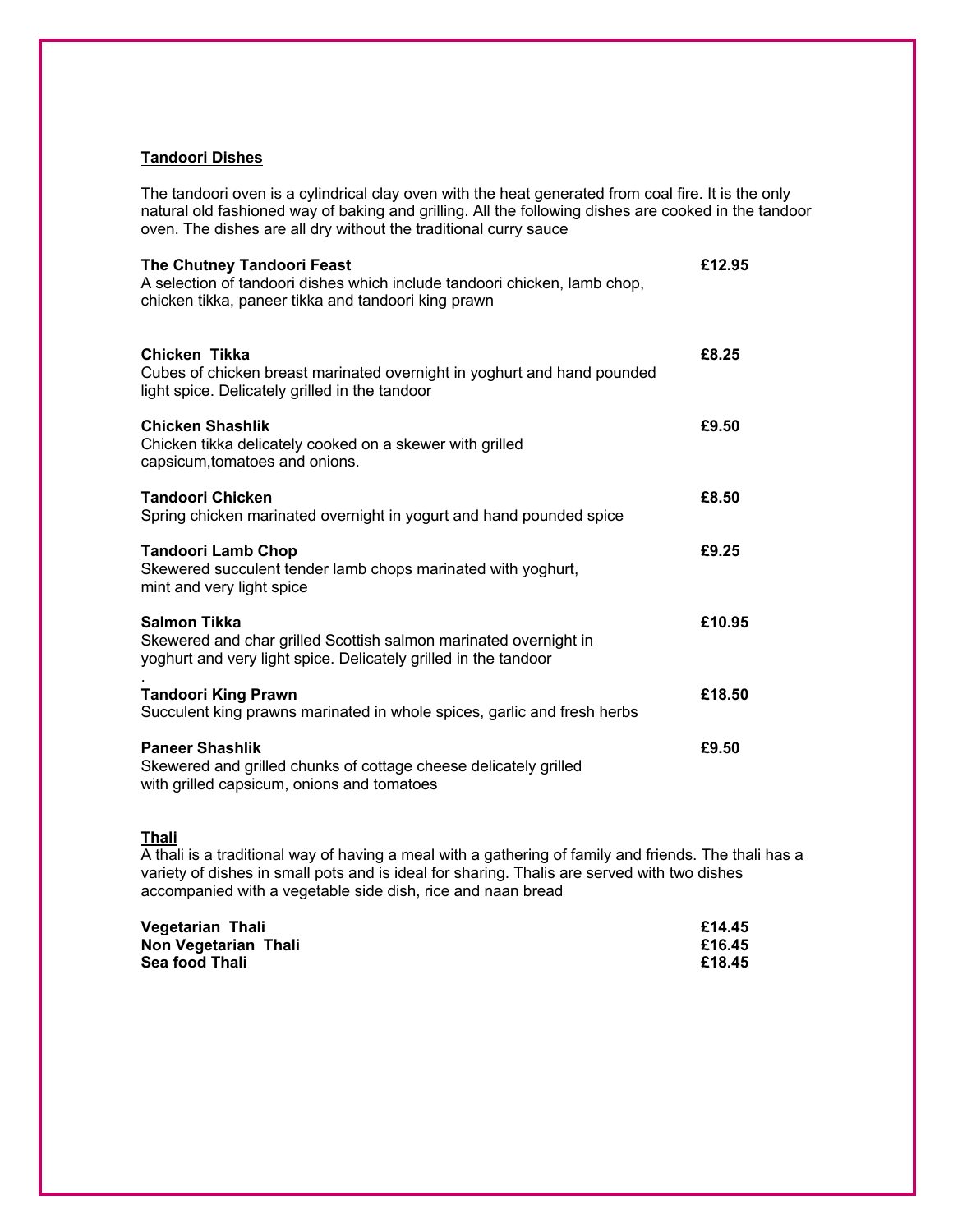#### **Tandoori Dishes**

The tandoori oven is a cylindrical clay oven with the heat generated from coal fire. It is the only natural old fashioned way of baking and grilling. All the following dishes are cooked in the tandoor oven. The dishes are all dry without the traditional curry sauce

| The Chutney Tandoori Feast<br>A selection of tandoori dishes which include tandoori chicken, lamb chop,<br>chicken tikka, paneer tikka and tandoori king prawn | £12.95 |
|----------------------------------------------------------------------------------------------------------------------------------------------------------------|--------|
| Chicken Tikka<br>Cubes of chicken breast marinated overnight in yoghurt and hand pounded<br>light spice. Delicately grilled in the tandoor                     | £8.25  |
| <b>Chicken Shashlik</b><br>Chicken tikka delicately cooked on a skewer with grilled<br>capsicum, tomatoes and onions.                                          | £9.50  |
| <b>Tandoori Chicken</b><br>Spring chicken marinated overnight in yogurt and hand pounded spice                                                                 | £8.50  |
| <b>Tandoori Lamb Chop</b><br>Skewered succulent tender lamb chops marinated with yoghurt,<br>mint and very light spice                                         | £9.25  |
| <b>Salmon Tikka</b><br>Skewered and char grilled Scottish salmon marinated overnight in<br>yoghurt and very light spice. Delicately grilled in the tandoor     | £10.95 |
| <b>Tandoori King Prawn</b><br>Succulent king prawns marinated in whole spices, garlic and fresh herbs                                                          | £18.50 |
| <b>Paneer Shashlik</b><br>Skewered and grilled chunks of cottage cheese delicately grilled<br>with grilled capsicum, onions and tomatoes                       | £9.50  |

#### **Thali**

A thali is a traditional way of having a meal with a gathering of family and friends. The thali has a variety of dishes in small pots and is ideal for sharing. Thalis are served with two dishes accompanied with a vegetable side dish, rice and naan bread

| Vegetarian Thali     | £14.45 |
|----------------------|--------|
| Non Vegetarian Thali | £16.45 |
| Sea food Thali       | £18.45 |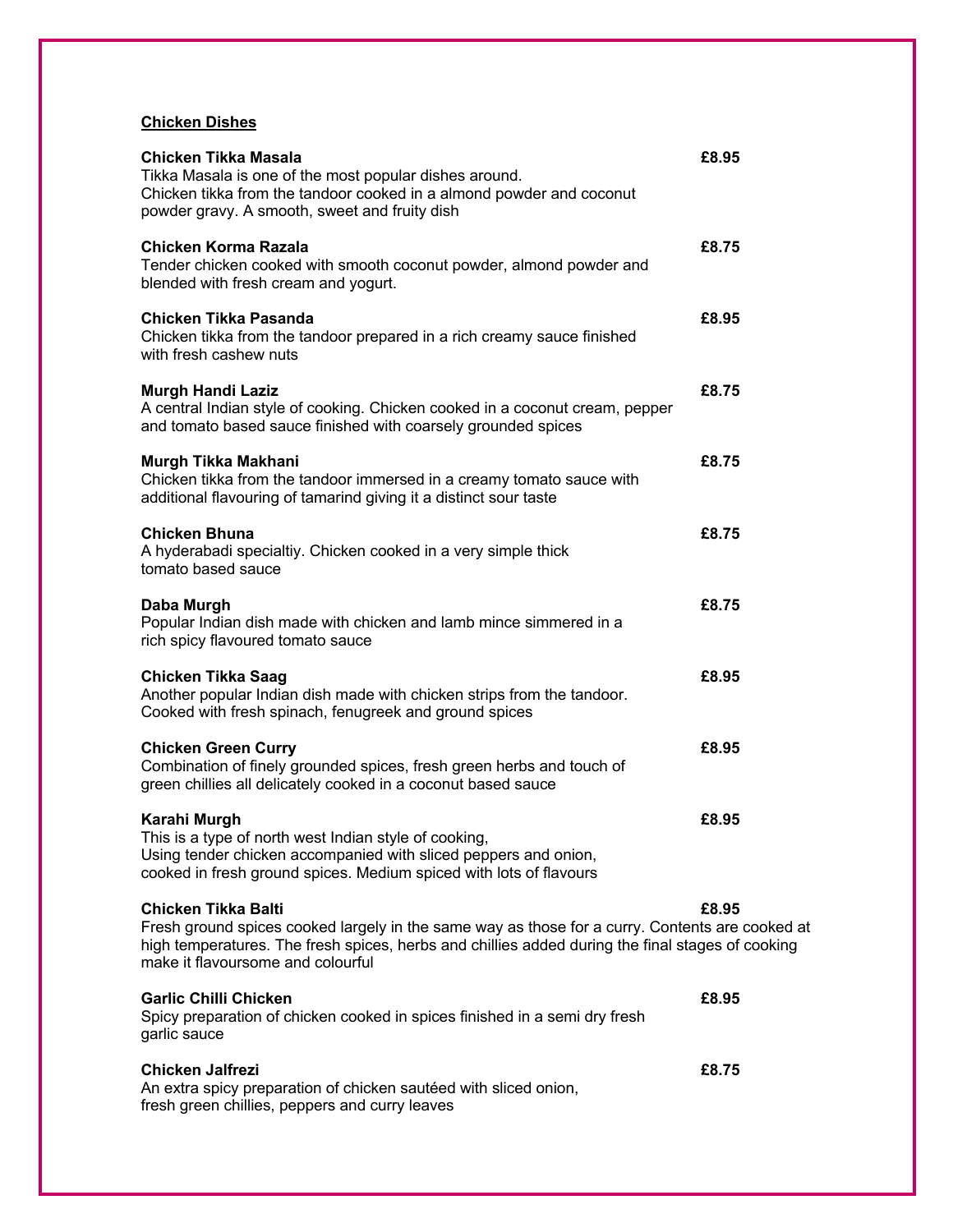## **Chicken Dishes**

| Chicken Tikka Masala<br>Tikka Masala is one of the most popular dishes around.<br>Chicken tikka from the tandoor cooked in a almond powder and coconut<br>powder gravy. A smooth, sweet and fruity dish                                                                | £8.95 |
|------------------------------------------------------------------------------------------------------------------------------------------------------------------------------------------------------------------------------------------------------------------------|-------|
| Chicken Korma Razala<br>Tender chicken cooked with smooth coconut powder, almond powder and<br>blended with fresh cream and yogurt.                                                                                                                                    | £8.75 |
| <b>Chicken Tikka Pasanda</b><br>Chicken tikka from the tandoor prepared in a rich creamy sauce finished<br>with fresh cashew nuts                                                                                                                                      | £8.95 |
| <b>Murgh Handi Laziz</b><br>A central Indian style of cooking. Chicken cooked in a coconut cream, pepper<br>and tomato based sauce finished with coarsely grounded spices                                                                                              | £8.75 |
| Murgh Tikka Makhani<br>Chicken tikka from the tandoor immersed in a creamy tomato sauce with<br>additional flavouring of tamarind giving it a distinct sour taste                                                                                                      | £8.75 |
| <b>Chicken Bhuna</b><br>A hyderabadi specialtiy. Chicken cooked in a very simple thick<br>tomato based sauce                                                                                                                                                           | £8.75 |
| Daba Murgh<br>Popular Indian dish made with chicken and lamb mince simmered in a<br>rich spicy flavoured tomato sauce                                                                                                                                                  | £8.75 |
| <b>Chicken Tikka Saag</b><br>Another popular Indian dish made with chicken strips from the tandoor.<br>Cooked with fresh spinach, fenugreek and ground spices                                                                                                          | £8.95 |
| <b>Chicken Green Curry</b><br>Combination of finely grounded spices, fresh green herbs and touch of<br>green chillies all delicately cooked in a coconut based sauce                                                                                                   | £8.95 |
| Karahi Murgh<br>This is a type of north west Indian style of cooking,<br>Using tender chicken accompanied with sliced peppers and onion,<br>cooked in fresh ground spices. Medium spiced with lots of flavours                                                         | £8.95 |
| <b>Chicken Tikka Balti</b><br>Fresh ground spices cooked largely in the same way as those for a curry. Contents are cooked at<br>high temperatures. The fresh spices, herbs and chillies added during the final stages of cooking<br>make it flavoursome and colourful | £8.95 |
| <b>Garlic Chilli Chicken</b><br>Spicy preparation of chicken cooked in spices finished in a semi dry fresh<br>garlic sauce                                                                                                                                             | £8.95 |
| Chicken Jalfrezi<br>An extra spicy preparation of chicken sautéed with sliced onion,<br>fresh green chillies, peppers and curry leaves                                                                                                                                 | £8.75 |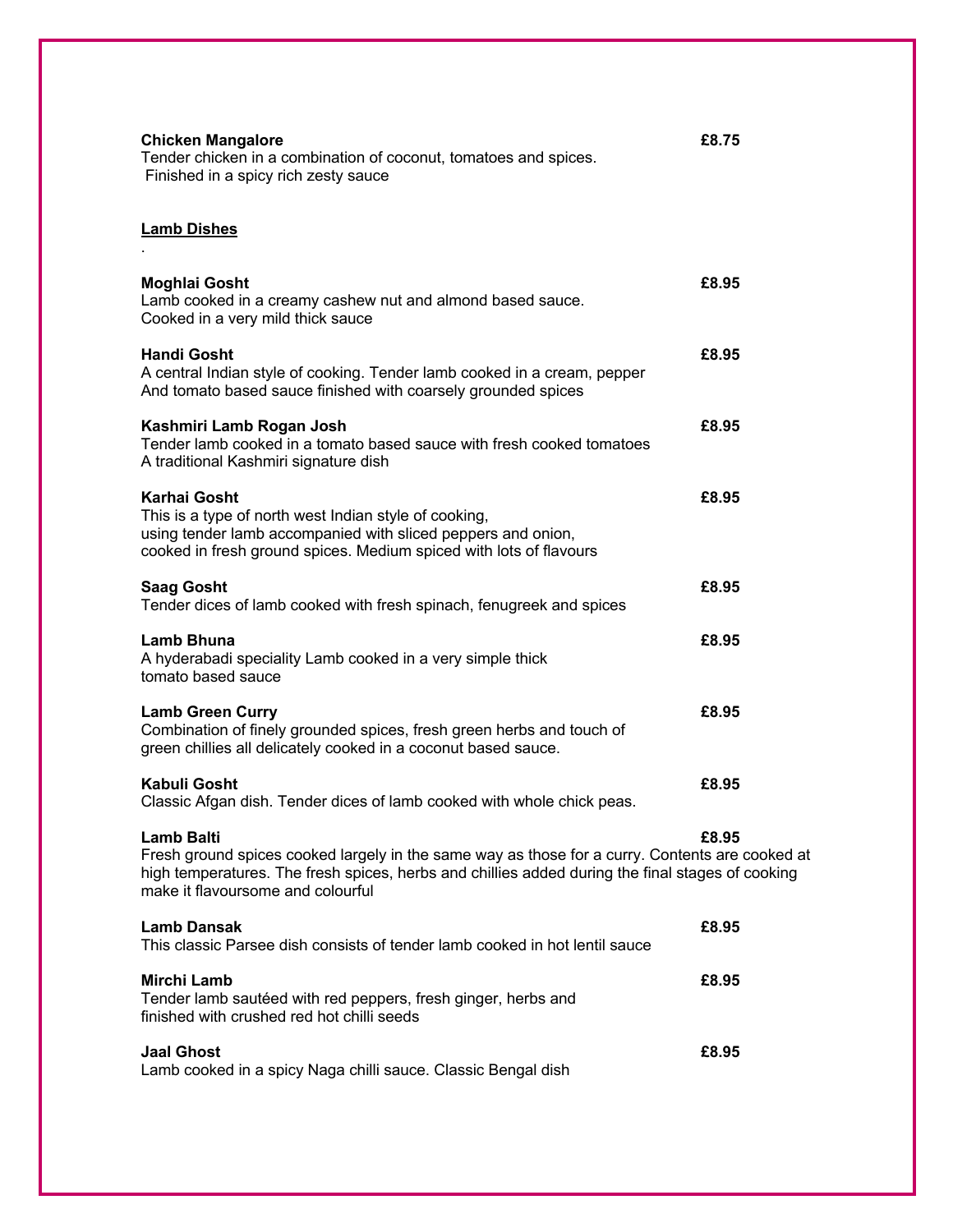| <b>Chicken Mangalore</b><br>Tender chicken in a combination of coconut, tomatoes and spices.<br>Finished in a spicy rich zesty sauce                                                                                                                          | £8.75 |
|---------------------------------------------------------------------------------------------------------------------------------------------------------------------------------------------------------------------------------------------------------------|-------|
| <b>Lamb Dishes</b>                                                                                                                                                                                                                                            |       |
| <b>Moghlai Gosht</b><br>Lamb cooked in a creamy cashew nut and almond based sauce.<br>Cooked in a very mild thick sauce                                                                                                                                       | £8.95 |
| <b>Handi Gosht</b><br>A central Indian style of cooking. Tender lamb cooked in a cream, pepper<br>And tomato based sauce finished with coarsely grounded spices                                                                                               | £8.95 |
| Kashmiri Lamb Rogan Josh<br>Tender lamb cooked in a tomato based sauce with fresh cooked tomatoes<br>A traditional Kashmiri signature dish                                                                                                                    | £8.95 |
| <b>Karhai Gosht</b><br>This is a type of north west Indian style of cooking,<br>using tender lamb accompanied with sliced peppers and onion,<br>cooked in fresh ground spices. Medium spiced with lots of flavours                                            | £8.95 |
| <b>Saag Gosht</b><br>Tender dices of lamb cooked with fresh spinach, fenugreek and spices                                                                                                                                                                     | £8.95 |
| Lamb Bhuna<br>A hyderabadi speciality Lamb cooked in a very simple thick<br>tomato based sauce                                                                                                                                                                | £8.95 |
| <b>Lamb Green Curry</b><br>Combination of finely grounded spices, fresh green herbs and touch of<br>green chillies all delicately cooked in a coconut based sauce.                                                                                            | £8.95 |
| <b>Kabuli Gosht</b><br>Classic Afgan dish. Tender dices of lamb cooked with whole chick peas.                                                                                                                                                                 | £8.95 |
| <b>Lamb Balti</b><br>Fresh ground spices cooked largely in the same way as those for a curry. Contents are cooked at<br>high temperatures. The fresh spices, herbs and chillies added during the final stages of cooking<br>make it flavoursome and colourful | £8.95 |
| <b>Lamb Dansak</b><br>This classic Parsee dish consists of tender lamb cooked in hot lentil sauce                                                                                                                                                             | £8.95 |
| <b>Mirchi Lamb</b><br>Tender lamb sautéed with red peppers, fresh ginger, herbs and<br>finished with crushed red hot chilli seeds                                                                                                                             | £8.95 |
| <b>Jaal Ghost</b><br>Lamb cooked in a spicy Naga chilli sauce. Classic Bengal dish                                                                                                                                                                            | £8.95 |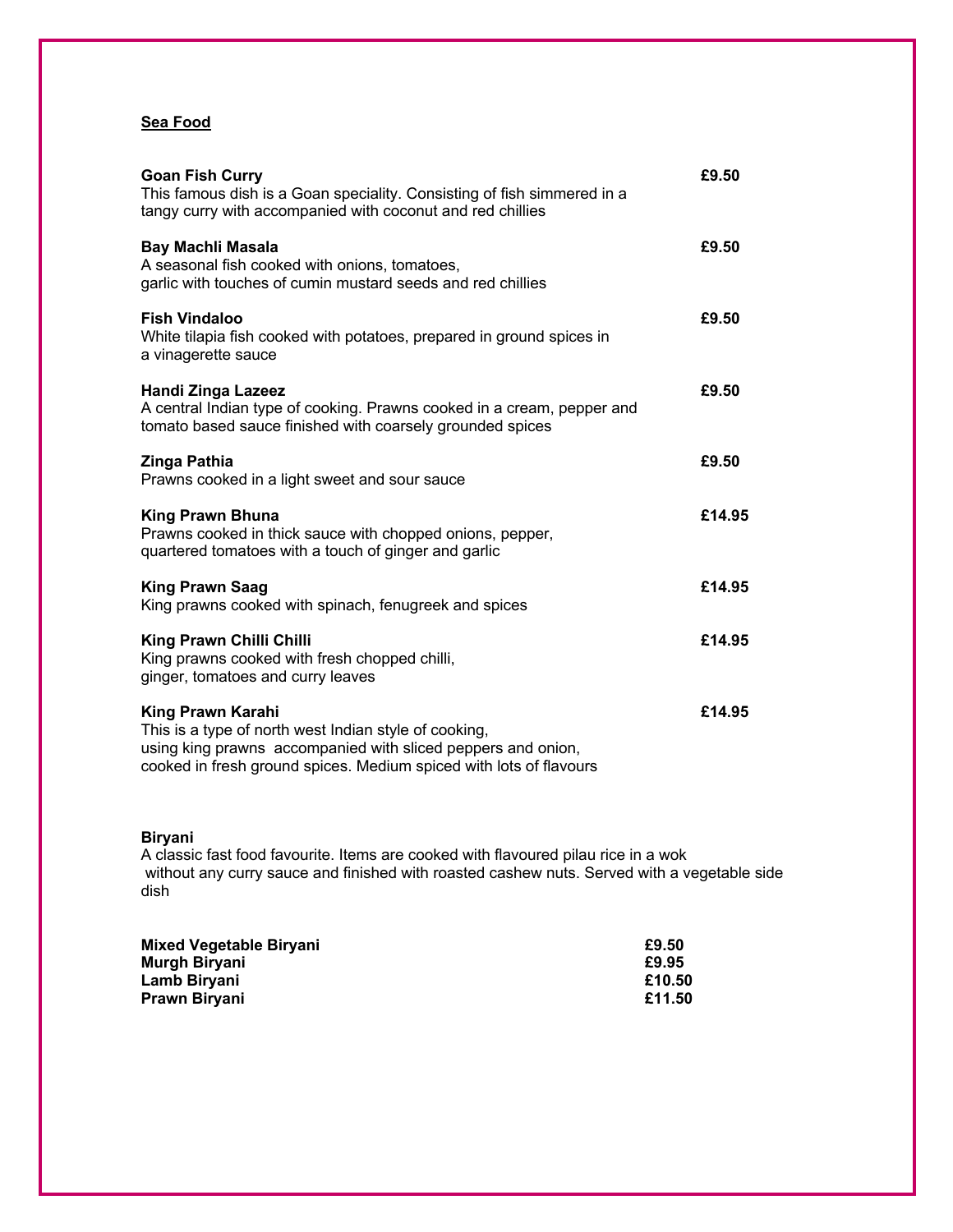## **Sea Food**

| <b>Goan Fish Curry</b><br>This famous dish is a Goan speciality. Consisting of fish simmered in a<br>tangy curry with accompanied with coconut and red chillies                                                         | £9.50  |
|-------------------------------------------------------------------------------------------------------------------------------------------------------------------------------------------------------------------------|--------|
| Bay Machli Masala<br>A seasonal fish cooked with onions, tomatoes,<br>garlic with touches of cumin mustard seeds and red chillies                                                                                       | £9.50  |
| <b>Fish Vindaloo</b><br>White tilapia fish cooked with potatoes, prepared in ground spices in<br>a vinagerette sauce                                                                                                    | £9.50  |
| <b>Handi Zinga Lazeez</b><br>A central Indian type of cooking. Prawns cooked in a cream, pepper and<br>tomato based sauce finished with coarsely grounded spices                                                        | £9.50  |
| Zinga Pathia<br>Prawns cooked in a light sweet and sour sauce                                                                                                                                                           | £9.50  |
| <b>King Prawn Bhuna</b><br>Prawns cooked in thick sauce with chopped onions, pepper,<br>quartered tomatoes with a touch of ginger and garlic                                                                            | £14.95 |
| <b>King Prawn Saag</b><br>King prawns cooked with spinach, fenugreek and spices                                                                                                                                         | £14.95 |
| King Prawn Chilli Chilli<br>King prawns cooked with fresh chopped chilli,<br>ginger, tomatoes and curry leaves                                                                                                          | £14.95 |
| <b>King Prawn Karahi</b><br>This is a type of north west Indian style of cooking,<br>using king prawns accompanied with sliced peppers and onion,<br>cooked in fresh ground spices. Medium spiced with lots of flavours | £14.95 |

## **Biryani**

A classic fast food favourite. Items are cooked with flavoured pilau rice in a wok without any curry sauce and finished with roasted cashew nuts. Served with a vegetable side dish

| Mixed Vegetable Biryani | £9.50  |
|-------------------------|--------|
| Murgh Biryani           | £9.95  |
| Lamb Biryani            | £10.50 |
| Prawn Biryani           | £11.50 |
|                         |        |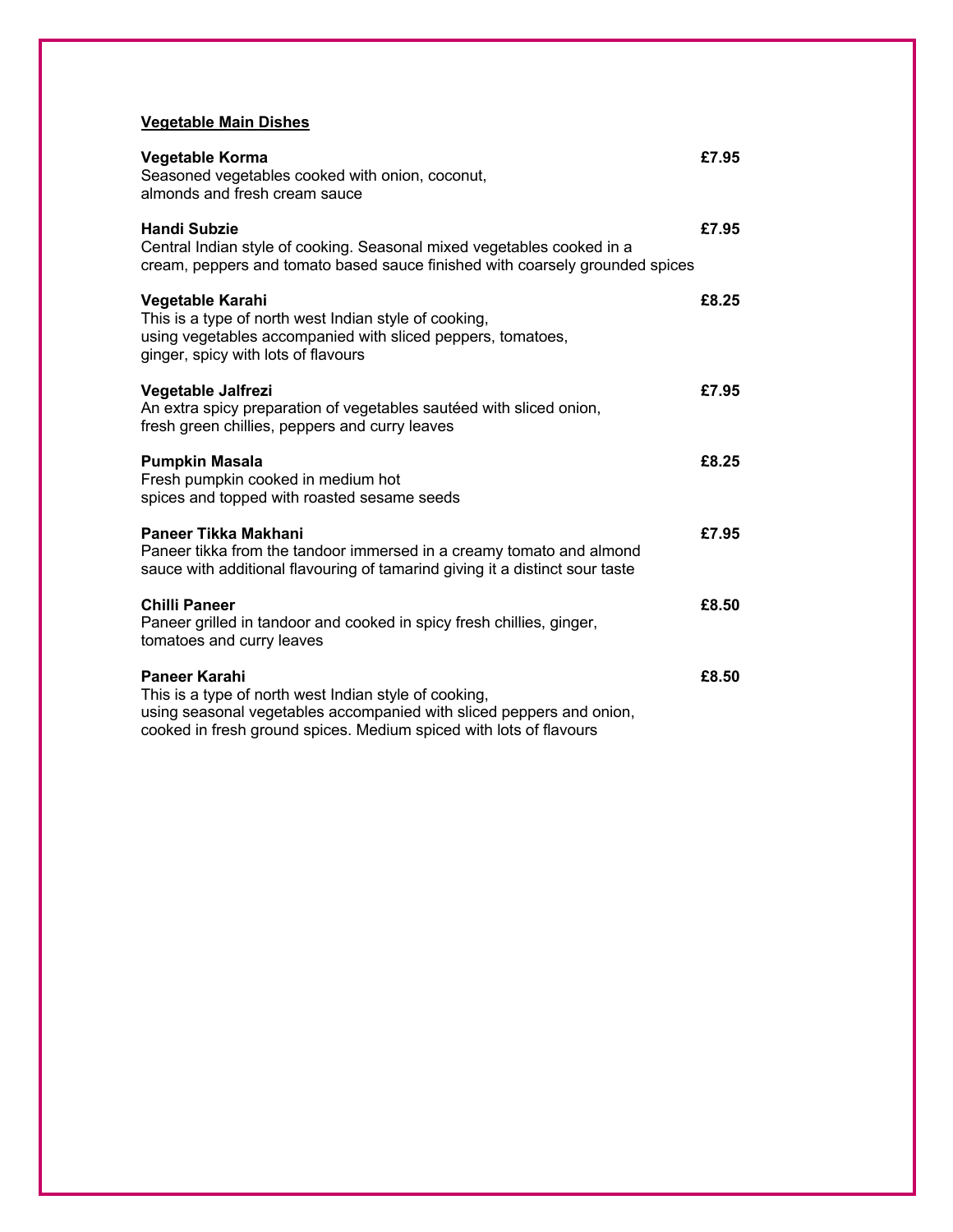## **Vegetable Main Dishes**

| Vegetable Korma<br>Seasoned vegetables cooked with onion, coconut,<br>almonds and fresh cream sauce                                                                                                                  | £7.95 |
|----------------------------------------------------------------------------------------------------------------------------------------------------------------------------------------------------------------------|-------|
| <b>Handi Subzie</b><br>Central Indian style of cooking. Seasonal mixed vegetables cooked in a<br>cream, peppers and tomato based sauce finished with coarsely grounded spices                                        | £7.95 |
| Vegetable Karahi<br>This is a type of north west Indian style of cooking,<br>using vegetables accompanied with sliced peppers, tomatoes,<br>ginger, spicy with lots of flavours                                      | £8.25 |
| Vegetable Jalfrezi<br>An extra spicy preparation of vegetables sautéed with sliced onion,<br>fresh green chillies, peppers and curry leaves                                                                          | £7.95 |
| <b>Pumpkin Masala</b><br>Fresh pumpkin cooked in medium hot<br>spices and topped with roasted sesame seeds                                                                                                           | £8.25 |
| Paneer Tikka Makhani<br>Paneer tikka from the tandoor immersed in a creamy tomato and almond<br>sauce with additional flavouring of tamarind giving it a distinct sour taste                                         | £7.95 |
| <b>Chilli Paneer</b><br>Paneer grilled in tandoor and cooked in spicy fresh chillies, ginger,<br>tomatoes and curry leaves                                                                                           | £8.50 |
| Paneer Karahi<br>This is a type of north west Indian style of cooking,<br>using seasonal vegetables accompanied with sliced peppers and onion,<br>cooked in fresh ground spices. Medium spiced with lots of flavours | £8.50 |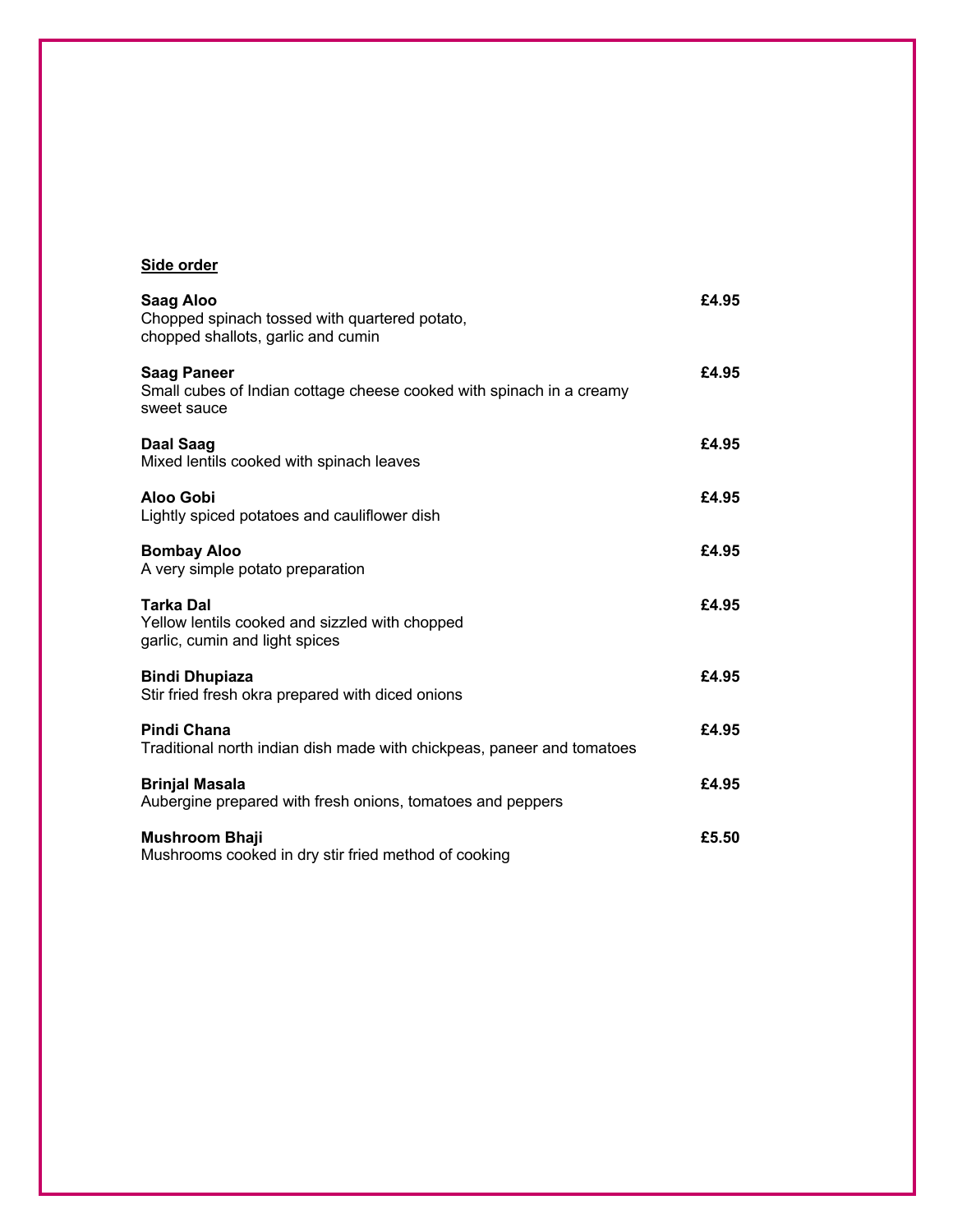## **Side order**

| Saag Aloo<br>Chopped spinach tossed with quartered potato,<br>chopped shallots, garlic and cumin          | £4.95 |
|-----------------------------------------------------------------------------------------------------------|-------|
| <b>Saag Paneer</b><br>Small cubes of Indian cottage cheese cooked with spinach in a creamy<br>sweet sauce | £4.95 |
| Daal Saag<br>Mixed lentils cooked with spinach leaves                                                     | £4.95 |
| Aloo Gobi<br>Lightly spiced potatoes and cauliflower dish                                                 | £4.95 |
| <b>Bombay Aloo</b><br>A very simple potato preparation                                                    | £4.95 |
| <b>Tarka Dal</b><br>Yellow lentils cooked and sizzled with chopped<br>garlic, cumin and light spices      | £4.95 |
| <b>Bindi Dhupiaza</b><br>Stir fried fresh okra prepared with diced onions                                 | £4.95 |
| Pindi Chana<br>Traditional north indian dish made with chickpeas, paneer and tomatoes                     | £4.95 |
| <b>Brinjal Masala</b><br>Aubergine prepared with fresh onions, tomatoes and peppers                       | £4.95 |
| Mushroom Bhaji<br>Mushrooms cooked in dry stir fried method of cooking                                    | £5.50 |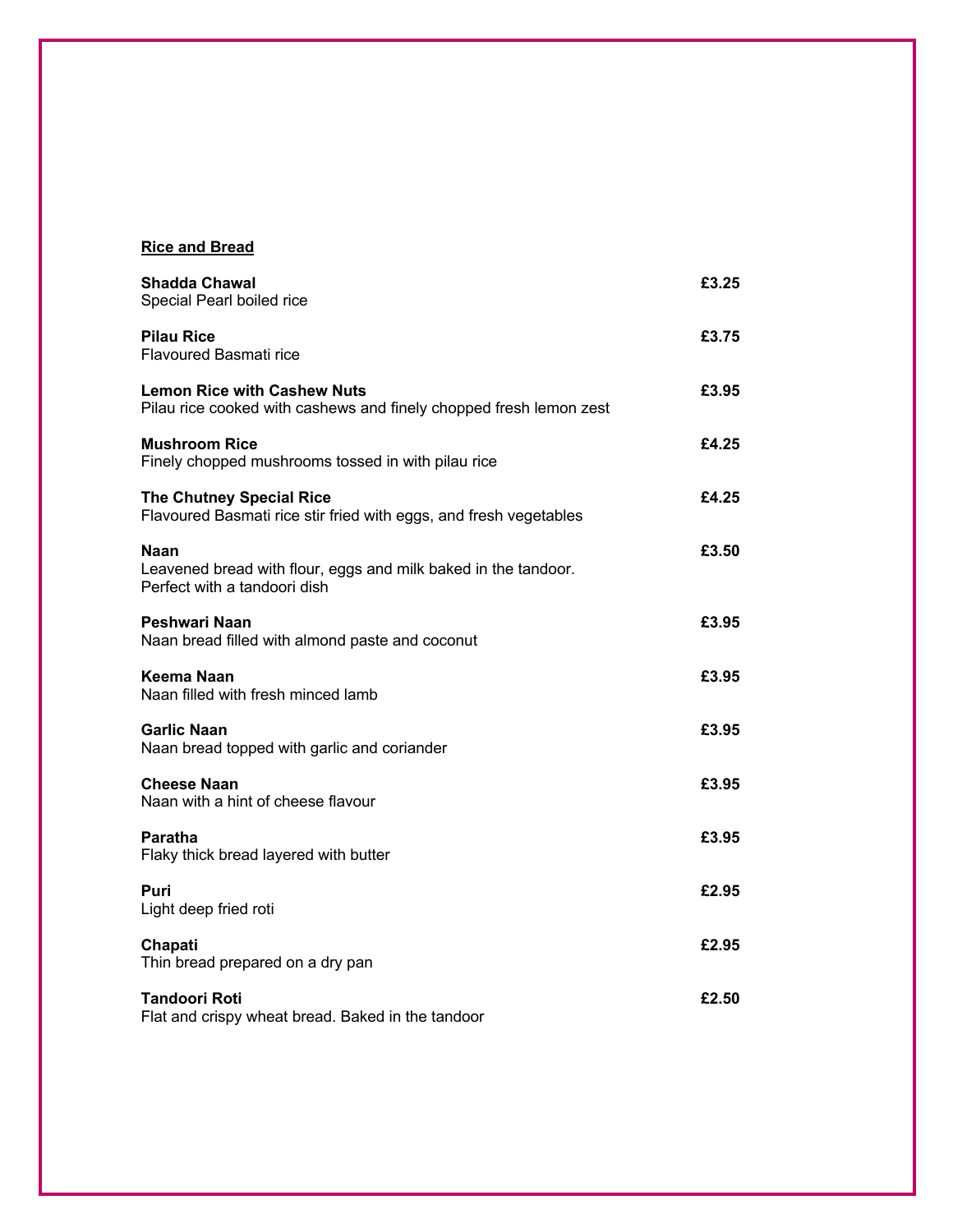## **Rice and Bread**

| <b>Shadda Chawal</b><br>Special Pearl boiled rice                                                             | £3.25 |
|---------------------------------------------------------------------------------------------------------------|-------|
| <b>Pilau Rice</b><br><b>Flavoured Basmati rice</b>                                                            | £3.75 |
| <b>Lemon Rice with Cashew Nuts</b><br>Pilau rice cooked with cashews and finely chopped fresh lemon zest      | £3.95 |
| <b>Mushroom Rice</b><br>Finely chopped mushrooms tossed in with pilau rice                                    | £4.25 |
| <b>The Chutney Special Rice</b><br>Flavoured Basmati rice stir fried with eggs, and fresh vegetables          | £4.25 |
| <b>Naan</b><br>Leavened bread with flour, eggs and milk baked in the tandoor.<br>Perfect with a tandoori dish | £3.50 |
| Peshwari Naan<br>Naan bread filled with almond paste and coconut                                              | £3.95 |
| Keema Naan<br>Naan filled with fresh minced lamb                                                              | £3.95 |
| <b>Garlic Naan</b><br>Naan bread topped with garlic and coriander                                             | £3.95 |
| <b>Cheese Naan</b><br>Naan with a hint of cheese flavour                                                      | £3.95 |
| Paratha<br>Flaky thick bread layered with butter                                                              | £3.95 |
| Puri<br>Light deep fried roti                                                                                 | £2.95 |
| Chapati<br>Thin bread prepared on a dry pan                                                                   | £2.95 |
| Tandoori Roti<br>Flat and crispy wheat bread. Baked in the tandoor                                            | £2.50 |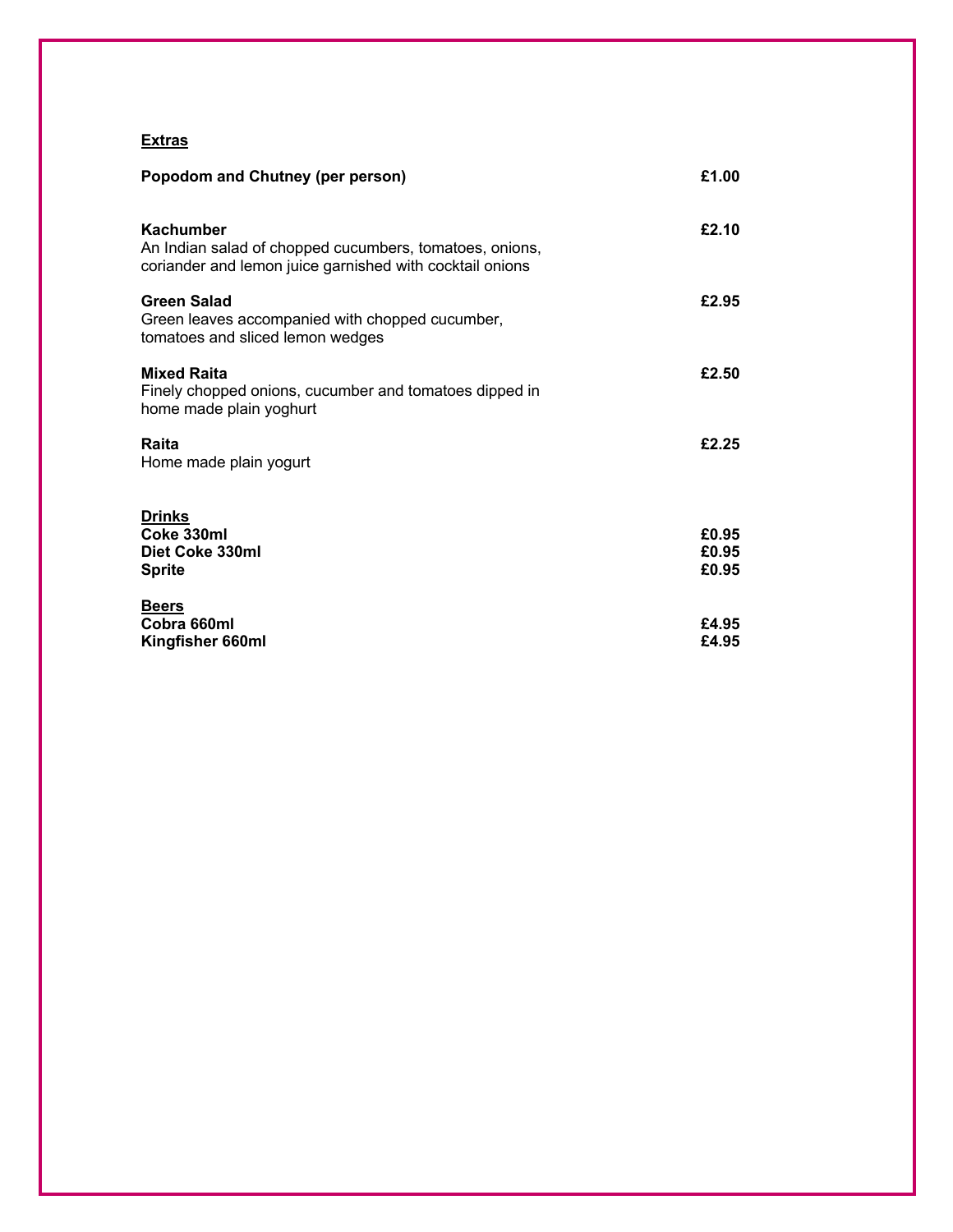## **Extras**

| Popodom and Chutney (per person)                                                                                                        | £1.00          |
|-----------------------------------------------------------------------------------------------------------------------------------------|----------------|
| <b>Kachumber</b><br>An Indian salad of chopped cucumbers, tomatoes, onions,<br>coriander and lemon juice garnished with cocktail onions | £2.10          |
| Green Salad<br>Green leaves accompanied with chopped cucumber,<br>tomatoes and sliced lemon wedges                                      | £2.95          |
| <b>Mixed Raita</b><br>Finely chopped onions, cucumber and tomatoes dipped in<br>home made plain yoghurt                                 | £2.50          |
| Raita<br>Home made plain yogurt                                                                                                         | £2.25          |
| <b>Drinks</b><br>Coke 330ml                                                                                                             |                |
| Diet Coke 330ml                                                                                                                         | £0.95<br>£0.95 |
| <b>Sprite</b>                                                                                                                           | £0.95          |
| <b>Beers</b><br>Cobra 660ml                                                                                                             | £4.95          |
| Kingfisher 660ml                                                                                                                        | £4.95          |